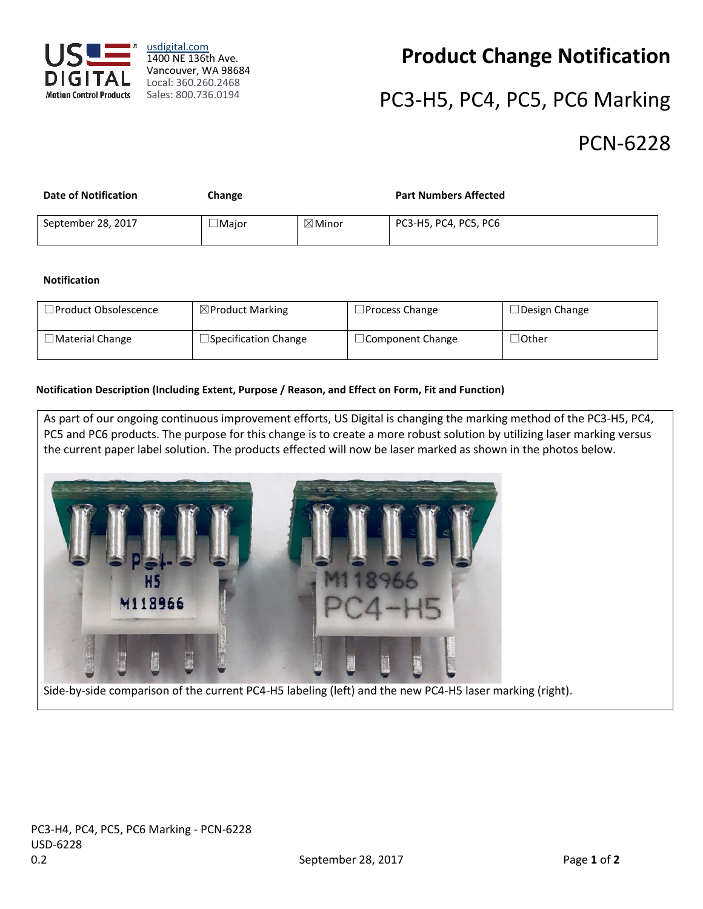

[usdigital.com](http://usdigital.com/) 1400 NE 136th Ave. Vancouver, WA 98684 Local: 360.260.2468 Sales: 800.736.0194

### **Product Change Notification**

# PC3-H5, PC4, PC5, PC6 Marking

### PCN-6228

| <b>Date of Notification</b> | Change       |                   | <b>Part Numbers Affected</b> |
|-----------------------------|--------------|-------------------|------------------------------|
| September 28, 2017          | $\Box$ Major | $\boxtimes$ Minor | PC3-H5, PC4, PC5, PC6        |

#### **Notification**

| $\Box$ Product Obsolescence | $\boxtimes$ Product Marking | $\Box$ Process Change   | $\Box$ Design Change |
|-----------------------------|-----------------------------|-------------------------|----------------------|
| $\Box$ Material Change      | $\Box$ Specification Change | $\Box$ Component Change | $\lrcorner$ Other    |

#### **Notification Description (Including Extent, Purpose / Reason, and Effect on Form, Fit and Function)**

As part of our ongoing continuous improvement efforts, US Digital is changing the marking method of the PC3-H5, PC4, PC5 and PC6 products. The purpose for this change is to create a more robust solution by utilizing laser marking versus the current paper label solution. The products effected will now be laser marked as shown in the photos below.



Side-by-side comparison of the current PC4-H5 labeling (left) and the new PC4-H5 laser marking (right).